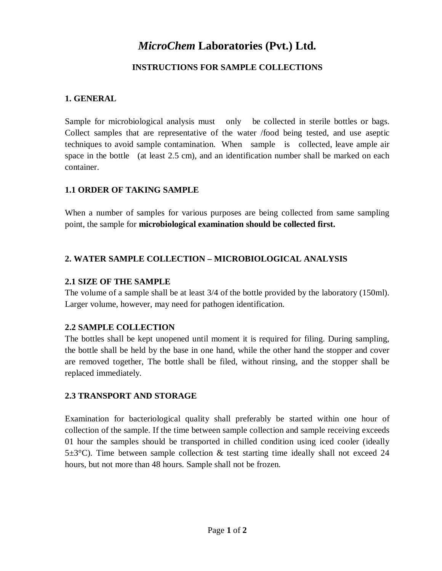# *MicroChem* **Laboratories (Pvt.) Ltd.**

## **INSTRUCTIONS FOR SAMPLE COLLECTIONS**

## **1. GENERAL**

Sample for microbiological analysis must only be collected in sterile bottles or bags. Collect samples that are representative of the water /food being tested, and use aseptic techniques to avoid sample contamination. When sample is collected, leave ample air space in the bottle (at least 2.5 cm), and an identification number shall be marked on each container.

#### **1.1 ORDER OF TAKING SAMPLE**

When a number of samples for various purposes are being collected from same sampling point, the sample for **microbiological examination should be collected first.**

## **2. WATER SAMPLE COLLECTION – MICROBIOLOGICAL ANALYSIS**

## **2.1 SIZE OF THE SAMPLE**

The volume of a sample shall be at least  $3/4$  of the bottle provided by the laboratory (150ml). Larger volume, however, may need for pathogen identification.

## **2.2 SAMPLE COLLECTION**

The bottles shall be kept unopened until moment it is required for filing. During sampling, the bottle shall be held by the base in one hand, while the other hand the stopper and cover are removed together, The bottle shall be filed, without rinsing, and the stopper shall be replaced immediately.

## **2.3 TRANSPORT AND STORAGE**

Examination for bacteriological quality shall preferably be started within one hour of collection of the sample. If the time between sample collection and sample receiving exceeds 01 hour the samples should be transported in chilled condition using iced cooler (ideally  $5\pm3^{\circ}$ C). Time between sample collection & test starting time ideally shall not exceed 24 hours, but not more than 48 hours. Sample shall not be frozen.